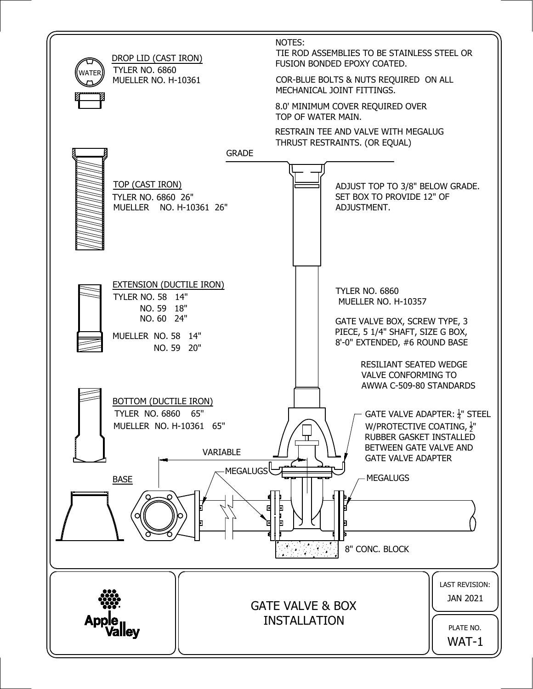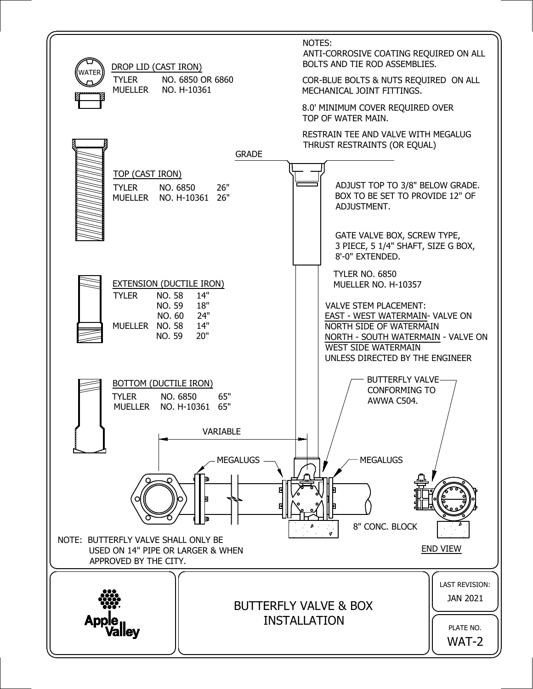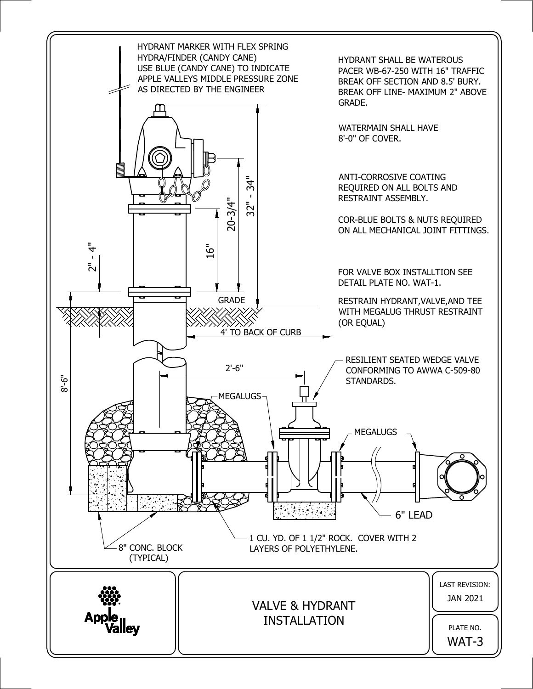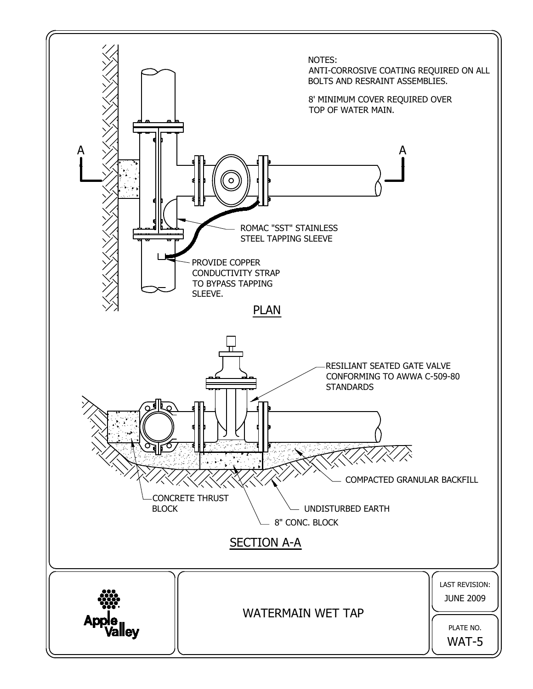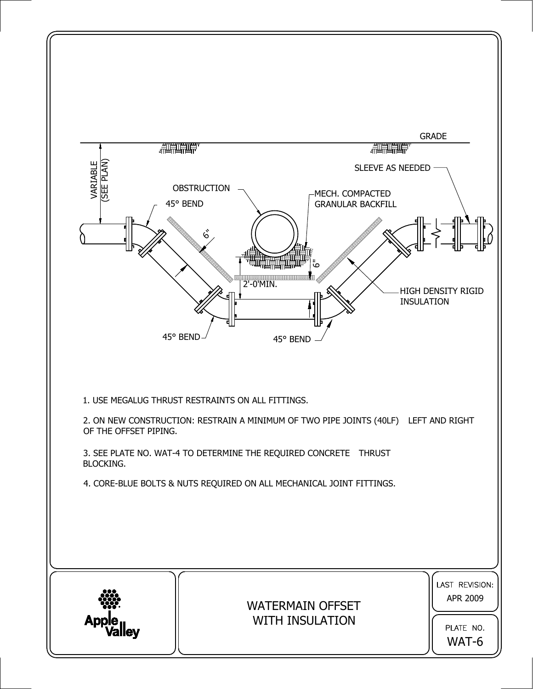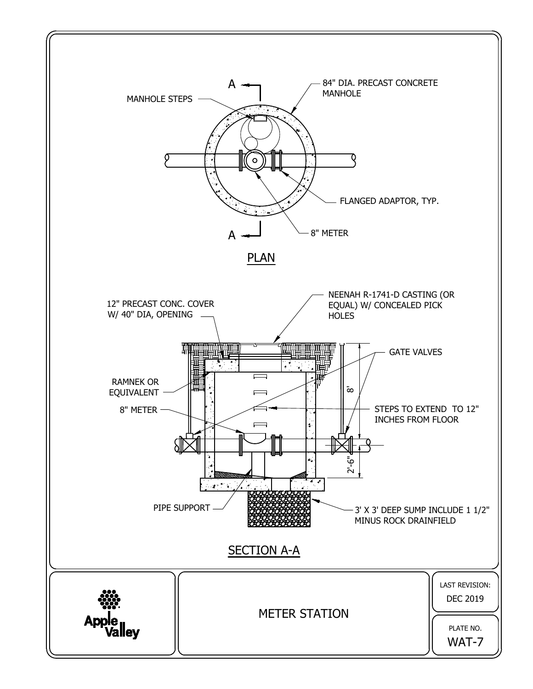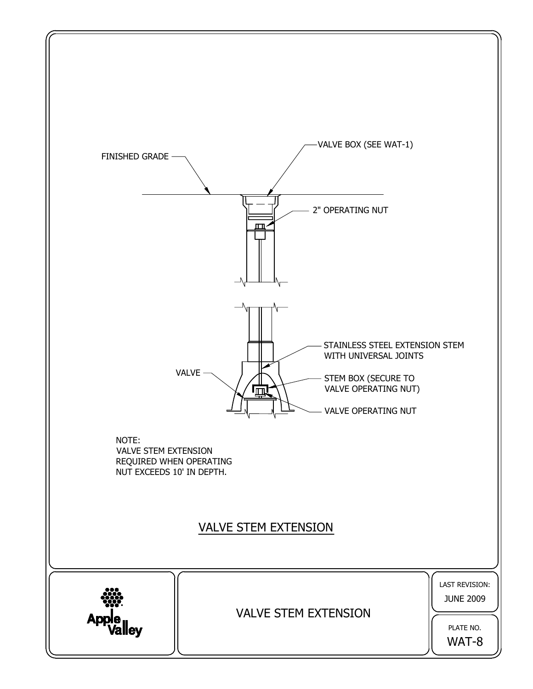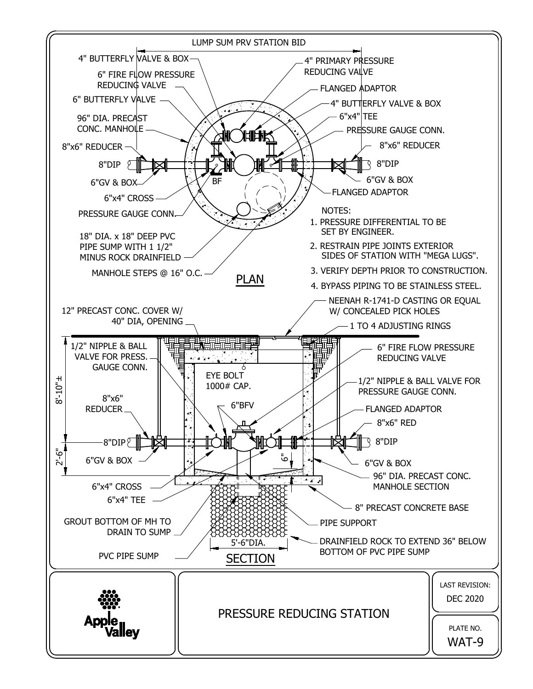